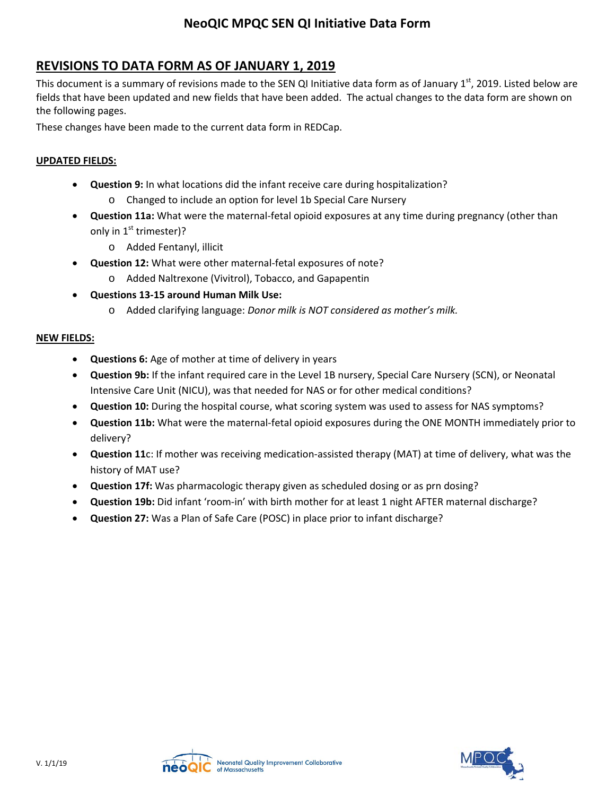## **NeoQIC MPQC SEN QI Initiative Data Form**

## **REVISIONS TO DATA FORM AS OF JANUARY 1, 2019**

This document is a summary of revisions made to the SEN QI Initiative data form as of January  $1<sup>st</sup>$ , 2019. Listed below are fields that have been updated and new fields that have been added. The actual changes to the data form are shown on the following pages.

These changes have been made to the current data form in REDCap.

#### **UPDATED FIELDS:**

- **Question 9:** In what locations did the infant receive care during hospitalization?
	- o Changed to include an option for level 1b Special Care Nursery
- **Question 11a:** What were the maternal-fetal opioid exposures at any time during pregnancy (other than only in  $1<sup>st</sup>$  trimester)?
	- o Added Fentanyl, illicit
- **Question 12:** What were other maternal-fetal exposures of note? o Added Naltrexone (Vivitrol), Tobacco, and Gapapentin
- **Questions 13-15 around Human Milk Use:** 
	- o Added clarifying language: *Donor milk is NOT considered as mother's milk.*

#### **NEW FIELDS:**

- **Questions 6:** Age of mother at time of delivery in years
- **Question 9b:** If the infant required care in the Level 1B nursery, Special Care Nursery (SCN), or Neonatal Intensive Care Unit (NICU), was that needed for NAS or for other medical conditions?
- **Question 10:** During the hospital course, what scoring system was used to assess for NAS symptoms?
- **Question 11b:** What were the maternal-fetal opioid exposures during the ONE MONTH immediately prior to delivery?
- **Question 11**c: If mother was receiving medication-assisted therapy (MAT) at time of delivery, what was the history of MAT use?
- **Question 17f:** Was pharmacologic therapy given as scheduled dosing or as prn dosing?
- **Question 19b:** Did infant 'room-in' with birth mother for at least 1 night AFTER maternal discharge?
- **Question 27:** Was a Plan of Safe Care (POSC) in place prior to infant discharge?



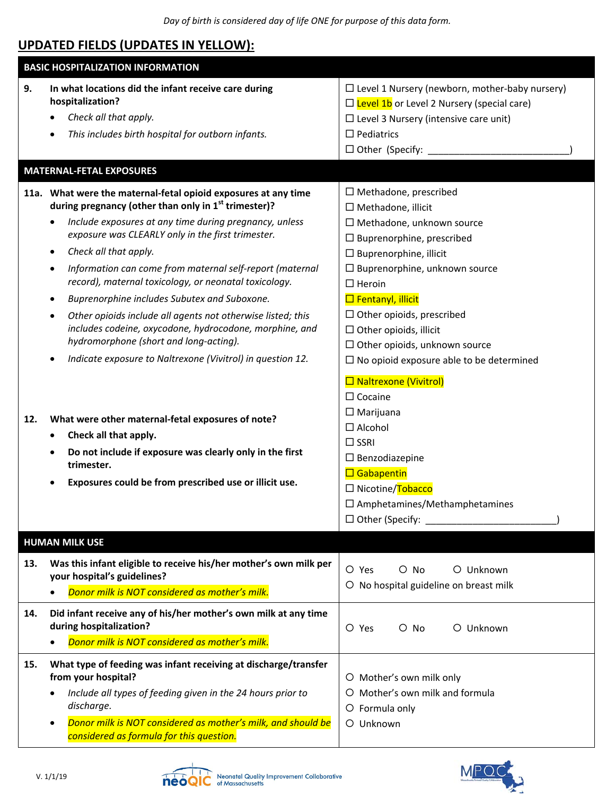# **UPDATED FIELDS (UPDATES IN YELLOW):**

| <b>BASIC HOSPITALIZATION INFORMATION</b> |                                                                                                                                                                                                                                                                                                                                                                                                                                                                                                                                                                                                                                                                                                                                  |                                                                                                                                                                                                                                                                                                                                                                                                                          |  |  |
|------------------------------------------|----------------------------------------------------------------------------------------------------------------------------------------------------------------------------------------------------------------------------------------------------------------------------------------------------------------------------------------------------------------------------------------------------------------------------------------------------------------------------------------------------------------------------------------------------------------------------------------------------------------------------------------------------------------------------------------------------------------------------------|--------------------------------------------------------------------------------------------------------------------------------------------------------------------------------------------------------------------------------------------------------------------------------------------------------------------------------------------------------------------------------------------------------------------------|--|--|
| 9.                                       | In what locations did the infant receive care during<br>hospitalization?<br>Check all that apply.<br>This includes birth hospital for outborn infants.                                                                                                                                                                                                                                                                                                                                                                                                                                                                                                                                                                           | $\Box$ Level 1 Nursery (newborn, mother-baby nursery)<br>$\Box$ Level 1b or Level 2 Nursery (special care)<br>$\Box$ Level 3 Nursery (intensive care unit)<br>$\Box$ Pediatrics<br>$\Box$ Other (Specify: _________                                                                                                                                                                                                      |  |  |
|                                          | <b>MATERNAL-FETAL EXPOSURES</b>                                                                                                                                                                                                                                                                                                                                                                                                                                                                                                                                                                                                                                                                                                  |                                                                                                                                                                                                                                                                                                                                                                                                                          |  |  |
|                                          | 11a. What were the maternal-fetal opioid exposures at any time<br>during pregnancy (other than only in $1st$ trimester)?<br>Include exposures at any time during pregnancy, unless<br>$\bullet$<br>exposure was CLEARLY only in the first trimester.<br>Check all that apply.<br>$\bullet$<br>Information can come from maternal self-report (maternal<br>$\bullet$<br>record), maternal toxicology, or neonatal toxicology.<br>Buprenorphine includes Subutex and Suboxone.<br>٠<br>Other opioids include all agents not otherwise listed; this<br>$\bullet$<br>includes codeine, oxycodone, hydrocodone, morphine, and<br>hydromorphone (short and long-acting).<br>Indicate exposure to Naltrexone (Vivitrol) in question 12. | $\Box$ Methadone, prescribed<br>$\Box$ Methadone, illicit<br>□ Methadone, unknown source<br>$\Box$ Buprenorphine, prescribed<br>$\square$ Buprenorphine, illicit<br>$\Box$ Buprenorphine, unknown source<br>$\Box$ Heroin<br>$\Box$ Fentanyl, illicit<br>$\Box$ Other opioids, prescribed<br>$\Box$ Other opioids, illicit<br>$\Box$ Other opioids, unknown source<br>$\square$ No opioid exposure able to be determined |  |  |
| 12.                                      | What were other maternal-fetal exposures of note?<br>Check all that apply.<br>$\bullet$<br>Do not include if exposure was clearly only in the first<br>$\bullet$<br>trimester.<br>Exposures could be from prescribed use or illicit use.<br>٠                                                                                                                                                                                                                                                                                                                                                                                                                                                                                    | □ Naltrexone (Vivitrol)<br>$\Box$ Cocaine<br>$\Box$ Marijuana<br>$\Box$ Alcohol<br>$\Box$ SSRI<br>$\Box$ Benzodiazepine<br>$\Box$ Gabapentin<br>□ Nicotine/Tobacco<br>$\square$ Amphetamines/Methamphetamines                                                                                                                                                                                                            |  |  |
|                                          | <b>HUMAN MILK USE</b>                                                                                                                                                                                                                                                                                                                                                                                                                                                                                                                                                                                                                                                                                                            |                                                                                                                                                                                                                                                                                                                                                                                                                          |  |  |
| 13.                                      | Was this infant eligible to receive his/her mother's own milk per<br>your hospital's guidelines?<br>Donor milk is NOT considered as mother's milk.                                                                                                                                                                                                                                                                                                                                                                                                                                                                                                                                                                               | $O$ No<br>O Unknown<br>O Yes<br>O No hospital guideline on breast milk                                                                                                                                                                                                                                                                                                                                                   |  |  |
| 14.                                      | Did infant receive any of his/her mother's own milk at any time<br>during hospitalization?<br>Donor milk is NOT considered as mother's milk.                                                                                                                                                                                                                                                                                                                                                                                                                                                                                                                                                                                     | O Unknown<br>O Yes<br>$O$ No                                                                                                                                                                                                                                                                                                                                                                                             |  |  |
| 15.                                      | What type of feeding was infant receiving at discharge/transfer<br>from your hospital?<br>Include all types of feeding given in the 24 hours prior to<br>٠<br>discharge.<br>Donor milk is NOT considered as mother's milk, and should be<br>$\bullet$<br>considered as formula for this question.                                                                                                                                                                                                                                                                                                                                                                                                                                | O Mother's own milk only<br>O Mother's own milk and formula<br>O Formula only<br>O Unknown                                                                                                                                                                                                                                                                                                                               |  |  |



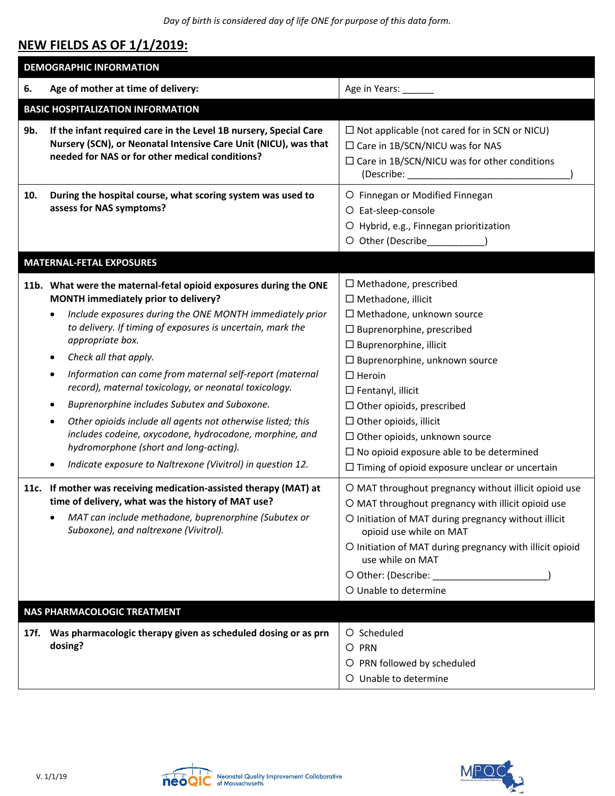*Day of birth is considered day of life ONE for purpose of this data form.*

## **NEW FIELDS AS OF 1/1/2019:**

| <b>DEMOGRAPHIC INFORMATION</b>           |                                                                                                                                                                                                                                                                                                                                                                                                                                                                                                                                                                                                                                                                                                                          |                                                                                                                                                                                                                                                                                                                                                                                                                                                                                     |  |  |
|------------------------------------------|--------------------------------------------------------------------------------------------------------------------------------------------------------------------------------------------------------------------------------------------------------------------------------------------------------------------------------------------------------------------------------------------------------------------------------------------------------------------------------------------------------------------------------------------------------------------------------------------------------------------------------------------------------------------------------------------------------------------------|-------------------------------------------------------------------------------------------------------------------------------------------------------------------------------------------------------------------------------------------------------------------------------------------------------------------------------------------------------------------------------------------------------------------------------------------------------------------------------------|--|--|
| 6.                                       | Age of mother at time of delivery:                                                                                                                                                                                                                                                                                                                                                                                                                                                                                                                                                                                                                                                                                       | Age in Years: ____                                                                                                                                                                                                                                                                                                                                                                                                                                                                  |  |  |
| <b>BASIC HOSPITALIZATION INFORMATION</b> |                                                                                                                                                                                                                                                                                                                                                                                                                                                                                                                                                                                                                                                                                                                          |                                                                                                                                                                                                                                                                                                                                                                                                                                                                                     |  |  |
| 9b.                                      | If the infant required care in the Level 1B nursery, Special Care<br>Nursery (SCN), or Neonatal Intensive Care Unit (NICU), was that<br>needed for NAS or for other medical conditions?                                                                                                                                                                                                                                                                                                                                                                                                                                                                                                                                  | $\Box$ Not applicable (not cared for in SCN or NICU)<br>$\Box$ Care in 1B/SCN/NICU was for NAS<br>$\Box$ Care in 1B/SCN/NICU was for other conditions                                                                                                                                                                                                                                                                                                                               |  |  |
| 10.                                      | During the hospital course, what scoring system was used to<br>assess for NAS symptoms?                                                                                                                                                                                                                                                                                                                                                                                                                                                                                                                                                                                                                                  | O Finnegan or Modified Finnegan<br>O Eat-sleep-console<br>O Hybrid, e.g., Finnegan prioritization<br>O Other (Describe______________)                                                                                                                                                                                                                                                                                                                                               |  |  |
|                                          | <b>MATERNAL-FETAL EXPOSURES</b>                                                                                                                                                                                                                                                                                                                                                                                                                                                                                                                                                                                                                                                                                          |                                                                                                                                                                                                                                                                                                                                                                                                                                                                                     |  |  |
|                                          | 11b. What were the maternal-fetal opioid exposures during the ONE<br>MONTH immediately prior to delivery?<br>Include exposures during the ONE MONTH immediately prior<br>to delivery. If timing of exposures is uncertain, mark the<br>appropriate box.<br>Check all that apply.<br>٠<br>Information can come from maternal self-report (maternal<br>$\bullet$<br>record), maternal toxicology, or neonatal toxicology.<br>Buprenorphine includes Subutex and Suboxone.<br>٠<br>Other opioids include all agents not otherwise listed; this<br>٠<br>includes codeine, oxycodone, hydrocodone, morphine, and<br>hydromorphone (short and long-acting).<br>Indicate exposure to Naltrexone (Vivitrol) in question 12.<br>٠ | $\Box$ Methadone, prescribed<br>$\Box$ Methadone, illicit<br>$\Box$ Methadone, unknown source<br>$\Box$ Buprenorphine, prescribed<br>$\Box$ Buprenorphine, illicit<br>$\Box$ Buprenorphine, unknown source<br>$\square$ Heroin<br>$\Box$ Fentanyl, illicit<br>$\Box$ Other opioids, prescribed<br>$\Box$ Other opioids, illicit<br>$\Box$ Other opioids, unknown source<br>$\Box$ No opioid exposure able to be determined<br>$\Box$ Timing of opioid exposure unclear or uncertain |  |  |
|                                          | 11c. If mother was receiving medication-assisted therapy (MAT) at<br>time of delivery, what was the history of MAT use?<br>MAT can include methadone, buprenorphine (Subutex or<br>Suboxone), and naltrexone (Vivitrol).                                                                                                                                                                                                                                                                                                                                                                                                                                                                                                 | O MAT throughout pregnancy without illicit opioid use<br>O MAT throughout pregnancy with illicit opioid use<br>O Initiation of MAT during pregnancy without illicit<br>opioid use while on MAT<br>O Initiation of MAT during pregnancy with illicit opioid<br>use while on MAT<br>O Unable to determine                                                                                                                                                                             |  |  |
| NAS PHARMACOLOGIC TREATMENT              |                                                                                                                                                                                                                                                                                                                                                                                                                                                                                                                                                                                                                                                                                                                          |                                                                                                                                                                                                                                                                                                                                                                                                                                                                                     |  |  |
| 17f.                                     | Was pharmacologic therapy given as scheduled dosing or as prn<br>dosing?                                                                                                                                                                                                                                                                                                                                                                                                                                                                                                                                                                                                                                                 | O Scheduled<br>O PRN<br>O PRN followed by scheduled<br>O Unable to determine                                                                                                                                                                                                                                                                                                                                                                                                        |  |  |